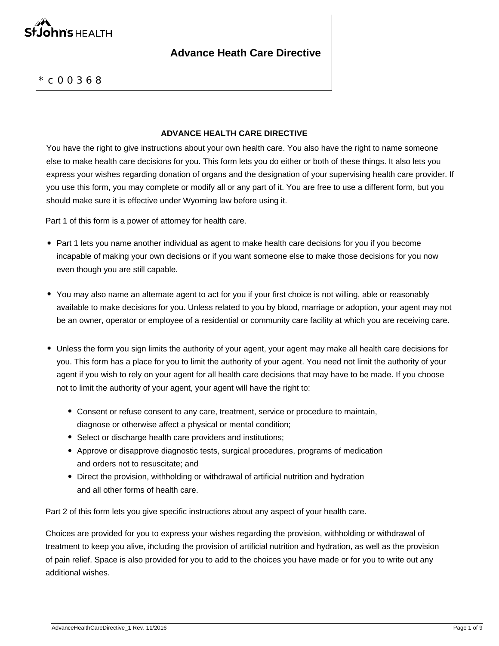

# **ADVANCE HEALTH CARE DIRECTIVE**

You have the right to give instructions about your own health care. You also have the right to name someone<br>else to make health care decisions for you. This form lets you do either or both of these things. It also lets you express your wishes regarding donation of organs and the designation of your supervising health care provider. If express your wishes regarding donation of organs and the designation of your supervising health care provider. If you use this form, you may complete or modify all or any part of it. You are free to use a different form, but you should make sure it is effective under Wyoming law before using it.

Part 1 of this form is a power of attorney for health care.

- Part 1 lets you name another individual as agent to make health care decisions for you if you become incapable of making your own decisions or if you want someone else to make those decisions for you now even though you are still capable.
- You may also name an alternate agent to act for you if your first choice is not willing, able or reasonably<br>available to make decisions for you. Unless related to you by blood, marriage or adoption, your agent may not be an owner, operator or employee of a residential or community care facility at which you are receiving care. be an owner, operator or employee of a residential or community care facility at which you are receiving care.
- Unless the form you sign limits the authority of your agent, your agent may make all health care decisions for agent if you wish to rely on your agent for all health care decisions that may have to be made. If you choose agent if you wish to rely on your agent for all health care decisions that may have to be made. If you choose not to limit the authority of your agent, your agent will have the right to:
	- Consent or refuse consent to any care, treatment, service or procedure to maintain, diagnose or otherwise affect a physical or mental condition;
	- Select or discharge health care providers and institutions;
	- Annrove or disannrove diagnostic tests, surgical procedure and orders not to resuscitate; and
	- Direct the provision, withholding or withdrawal of artificial nutrition and hydration and all other forms of health care.

Part 2 of this form lets you give specific instructions about any aspect of your health care.

- Choices are provided for you to express your wishes regarding the provision, withholding or withdrawal of treatment to keep you alive, including the provision of artificial nutrition and hydration, as well as the provision of pain relief. Space is also provided for you to add to the choices you have made or for you to write out any additional wishes.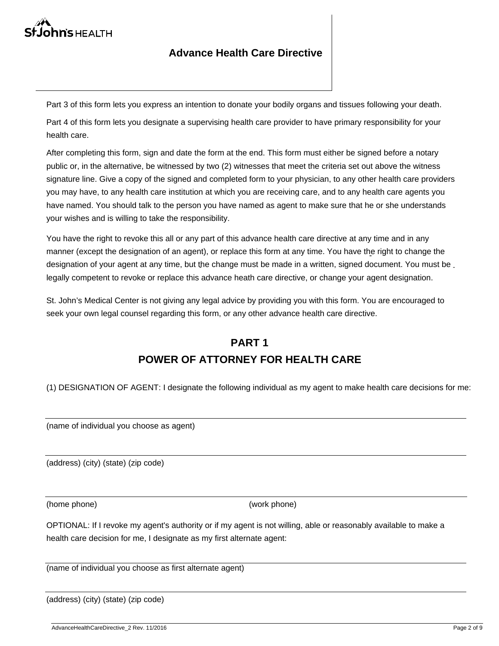

Part 3 of this form lets you express an intention to donate your bodily organs and tissues following your death.

Part 4 of this form lets you designate a supervising health care provider to have primary responsibility for your<br>health care.

After completing this form, sign and date the form at the end. This form must either be signed before a notary<br>public or, in the alternative, be witnessed by two (2) witnesses that meet the criteria set out above the witne signature line. Give a copy of the signed and completed form to your physician, to any other health care providers you may have, to any health care institution at which you are receiving care, and to any health care agents you you may have, to any health care institution at which you are receiving care, and to any health care agents you have named. You should talk to the person you have named as agent to make sure that he or she understands your wishes and is willing to take the responsibility.

You have the right to revoke this all or any part of this advance health care directive at any time and in any<br>manner (except the designation of an agent), or replace this form at any time. You have the right to change the manner (except the designation of an agent), or replace this form at any time. You have the right to change the designation of your agent at any time, but the change must be made in a written, signed document. You must be - legally competent to revoke or replace this advance heath care directive, or change your agent designation.

St. John's Medical Center is not giving any legal advice by providing you with this form. You are encouraged to seek your own legal counsel regarding this form, or any other advance health care directive.

# PART<sub>1</sub>

# **POWER OF ATTORNEY FOR HEALTH CARE POWER OF ATTORNEY FOR HEALTH CARE**

(1) DESIGNATION OF AGENT: I designate the following individual as my agent to make health care decisions for me:

(name of individual you choose as agent)

 $($ address)  $($ city)  $($ cities)  $($   $\vdots$ 

 $(\ldots, \ldots, \ldots)$ 

OPTIONAL: If I revoke my agent's authority or if my agent is not willing, able or reasonably available to make a health care decision for me, I designate as my first alternate agent:

(name of individual you choose as first alternate agent)

(address) (city) (state) (zip code)

 $\mathcal{L}_{\mathcal{A}}$  and  $\mathcal{L}_{\mathcal{A}}$  represented by  $\mathcal{L}_{\mathcal{A}}$  rev. 11/2016 Page 2 of 9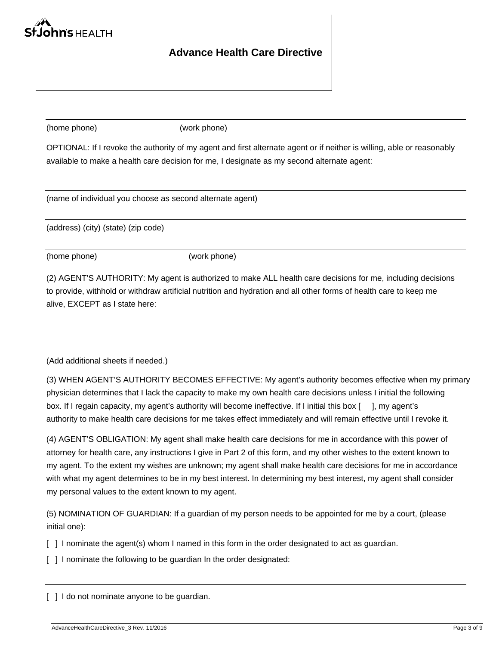

 $($ home phone)  $($ home $)$ 

OPTIONAL: If I revoke the authority of my agent and first alternate agent or if neither is willing, able or reasonably available to make a health care decision for me, I designate as my second alternate agent:

(name of individual you choose as second alternate agent)

(address) (city) (state) (zip code)

 $($ work phone) (work phone)

(2) AGENT'S AUTHORITY: My agent is authorized to make ALL health care decisions for me, including decisions<br>to provide, withhold or withdraw artificial nutrition and hydration and all other forms of health care to keep me to provide, withhold or withdraw artificial nutrition and hydration and all other forms of health care to keep me alive, EXCEPT as I state here:

 $\sum_{i=1}^{n}$ 

(3) WHEN AGENT'S AUTHORITY BECOMES EFFECTIVE: My agent's authority becomes effective when my primary<br>physician determines that I lack the capacity to make my own health care decisions unless I initial the following box. If I regain capacity, my agent's authority will become ineffective. If I initial this box [], my agent's box. If I regain capacity, my agent's authority will become ineffective. If I initial this box [ ], my agent's authority to make health care decisions for me takes effect immediately and will remain effective until I revoke it.

(4) AGENT'S OBLIGATION: My agent shall make health care decisions for me in accordance with this power of attorney for health care, any instructions I give in Part 2 of this form, and my other wishes to the extent known to my agent. To the extent my wishes are unknown; my agent shall make health care decisions for me in accordance my agent. To the extent my wishes are unknown; my agent shall make health care decisions for me in accordance with what my agent determines to be in my best interest. In determining my best interest, my agent shall consider my personal values to the extent known to my agent.

(5) NOMINATION OF GUARDIAN: If a guardian of my person needs to be appointed for me by a court, (please initial one):

 I nominate the agent(s) whom I named in this form in the order designated to act as guardian.  $\ddot{\phantom{0}}$ 

 I nominate the following to be guardian In the order designated:  $\ddot{\phantom{0}}$ 

 $\Gamma$  ] can not not not not not all  $\Gamma$  and  $\Gamma$  and  $\Gamma$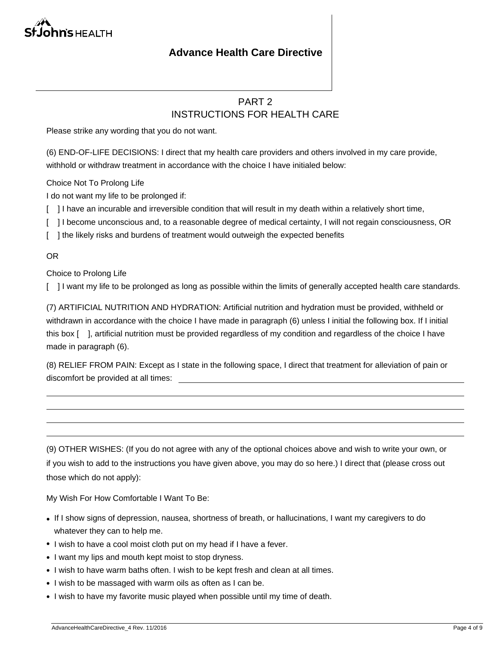

# PART<sub>2</sub> **INSTRUCTIONS FOR HEALTH CARE** INSTRUCTIONS FOR HEALTH CARE

Please strike any wording that you do not want.

(6) END-OF-LIFE DECISIONS: I direct that my health care providers and others involved in my care provide, with the withdraw treatment in accordance with the choice I have initially below:

Choice Not To Prolong Life<br>I do not want my life to be prolonged if:

- $\lceil$  1 have an incurable and irreversible condition that will result in my death within a relatively short time.
- $\lceil$  1 become unconscious and, to a reasonable degree of medical certainty, I will not regain consciousness, OR
- $\lceil$  ] the likely risks and burdens of treatment would outweigh the expected benefits  $\Gamma$  ) the likely risks and burdens of treatment would converge the expected benefits

#### **OR** OR

choice to Prolong Life [ ] I want my life to be prolonged as long as possible within the limits of generally accepted health care standards.

(7) ARTIFICIAL NUTRITION AND HYDRATION: Artificial nutrition and hydration must be provided, withheld or this box  $\lceil$  , artificial nutrition must be provided regardless of my condition and regardless of the choice I have this box  $[$   $]$ , artificial number between regardless of my condition and regardless of the choice I have  $\frac{1}{2}$ made in paragraph  $(6)$ .

(8) RELIEF FROM PAIN: Except as I state in the following space, I direct that treatment for alleviation of pain or discomfort be provided at all times:

(9) OTHER WISHES: (If you do not agree with any of the optional choices above and wish to write your own, or<br>if you wish to add to the instructions you have given above, you may do so here.) I direct that (please cross out if you wish to add to the instructions you have given above, you may do so here.) I direct that (please cross out  $t_{\rm max}$  which do not apply);

My Wish For How Comfortable I Want To Be:

- If I show signs of depression, nausea, shortness of breath, or hallucinations, I want my caregivers to do
- whatever they can to help me.<br>• I wish to have a cool moist cloth put on my head if I have a fever.
- I wont to have a cool mouth least moist to deep druggers.
- I want my lips and mouth kept moist to stop dryness. •
- I wish to have name baths often. I wish to be provided that the all times.
- I wish to be massaged with warm oils as often as I can be. I wish to have my favorite music played when possible until my time of death. •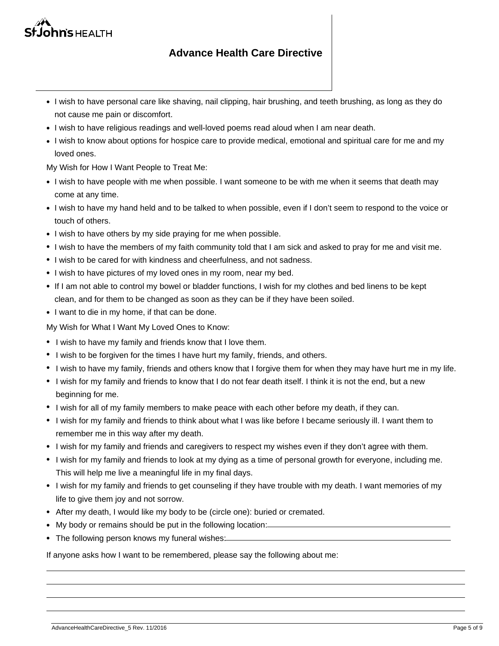

- I wish to have personal care like shaving, nail clipping, hair brushing, and teeth brushing, as long as they do
- I wish to have religious readings and well-loved poems read aloud when I am near death.
- I wish to have religious readings and well-loved poems read aloud when I am near death. I wish to know about options for hospice care to provide medical, emotional and spiritual care for me and my •

loved ones.<br>My Wish for How I Want People to Treat Me: My Wish for How I Want People to Treat Me:

- I wish to have people with me when possible. I want someone to be with me when it seems that death may
- come at any time.<br>I wish to have my hand held and to be talked to when possible, even if I don't seem to respond to the voice or I wish to have my hand held and to be talked to when possible, even if I don't seem to respond to the voice or
- touch of others.<br>• I wish to have others by my side praying for me when possible.
- I wish to have since by my side praying for me when possible.
- I wish to have the members of my faith community told that I am sick and asked to pray for me and visit me. •
- I wish to be cared for with kindness and cheerfulness, and not sadness. •
- If I am not oble to earted my beyond or blodder functions. I wish for clean, and for them to be changed as soon as they can be if they have been soiled.
- $\bullet$  I want to die in my home, if that can be done. I want to die in my home, if that can be done.

My Wish for What I Want My Loved Ones to Know: •

- 
- I wish to have my family and member members here are in
- I wish to be forgiven for the times I have hurt my family, friends, and others. •
- I wish to have my family, friends and others know that I forgive them for when they may have hurt me in my life. I wish for my family and friends to know that I do not fear death itself. I think it is not the end, but a new •
- beginning for me.<br>• I wish for all of my family members to make peace with each other before my death, if they can.
- I wish for all of my family members to make peace with each other before my death, if they can. I wester my family and friends to think about what I was like before I became seriously ill. I want them to •
- remember me in this way after my death.<br>• I wish for my family and friends and caregivers to respect my wishes even if they don't agree with them.
- I wish for my family and friends to look of my dying on a fime of noroonal growth for avantance including This will help me live a meaning ful life in my final days.
- I wish for my family and friends to get counseling if they have trouble with my death. I want memories of my life to give them joy and not sorrow.
- After my death, I would like my body to be (circle one): buried or cremated.
- After my death, I would like my body to be (circle one): buried or cremated.
- My body or remains should be put in the following location: The following person knows my funeral wishes: •

If anyone asks how I want to be remembered, please say the following about me: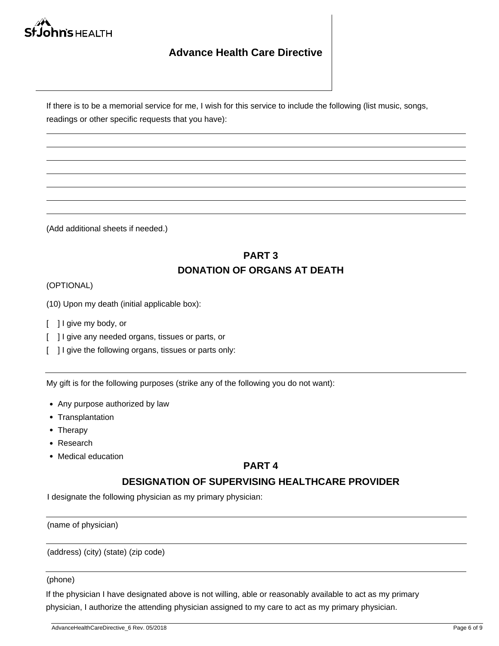

If there is to be a memorial service for me, I wish for this service to include the following (list music, songs, readings or other specific requests that you have):

(Add additional sheets if needed.)

# PART<sub>3</sub> **DONATION OF ORGANS AT DEATH DONATION OF ORGANS AT DEATH**

## (OPTIONAL)

- (10) Upon my death (initial applicable box):
- 
- [ ] I give my body, or<br>[ ] I give any needed organs, tissues or parts, or
- [ ] I give any needed organs, tissues or parts, or [ ] I give the following organs, tissues or parts only:

My gift is for the following purposes (strike any of the following you do not want):

- Any purpose authorized by law
- Transplantation •
- Therapy
- Pesears<br>• Pesears
- $\bullet$  Medical e Medical education

# PART<sub>4</sub>

#### **DESIGNATION OF SUPERVISING HEALTHCARE PROVIDER DESIGNATION OF SUPERVISING HEALTHCARE PROVIDER**

I designate the following physician as my primary physician:

(name of physician)

(address) (city) (state) (zip code)

(phone)<br>If the physician I have designated above is not willing, able or reasonably available to act as my primary physician, I authorize the attending physician assigned to my care to act as my primary physician. physician, I authorize the attending physician assigned to my care to act as my primary physician.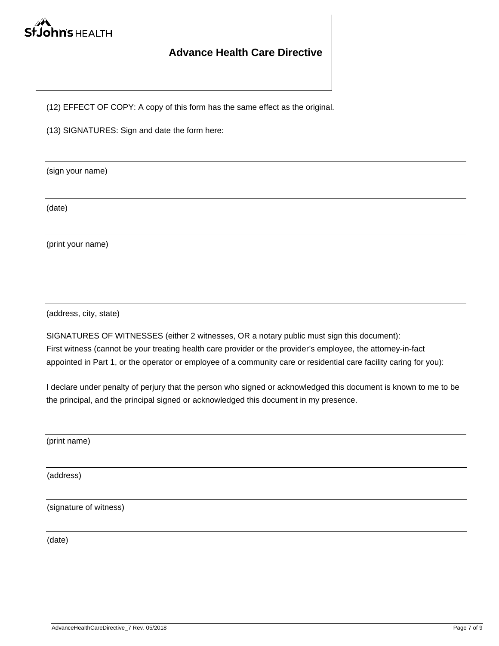

(12) EFFECT OF COPY: A copy of this form has the same effect as the original.

(13) SIGNATURES: Sign and date the form here:

(sign your name)

(date)

(print your name)

(address, city, state)

SIGNATURES OF WITNESSES (either 2 witnesses, OR a notary public must sign this document):<br>First witness (cannot be your treating health care provider or the provider's employee, the attorney-in-fact First witness (cannot be your treating health care provider or the provider's employee, the attorney-in-fact appointed in Part 1, or the operator or employee of a community care or residential care facility caring for you):

I declare under penalty of perjury that the person who signed or acknowledged this document is known to me to be the principal, and the principal signed or acknowledged this document in my presence.

(print name)

(address)

(signature of witness)

 $(1, 1, 1)$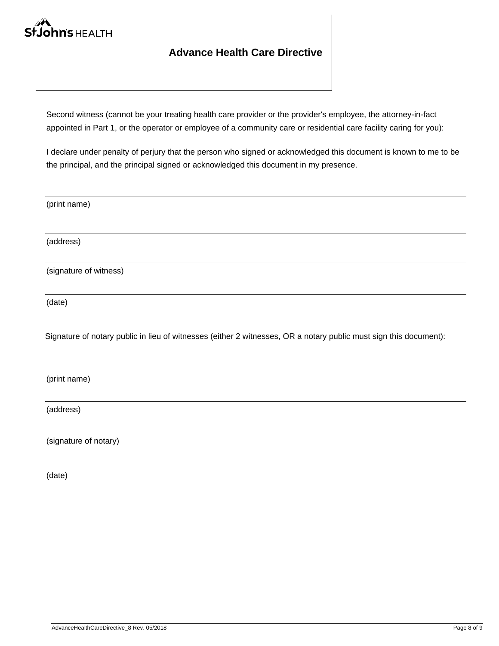

Second witness (cannot be your treating health care provider or the provider's employee, the attorney-in-fact appointed in Part 1, or the operator or employee of a community care or residential care facility caring for you):

I declare under penalty of perjury that the person who signed or acknowledged this document is known to me to be the principal, and the principal signed or acknowledged this document in my presence.

| (print name)                                                                                                      |
|-------------------------------------------------------------------------------------------------------------------|
| (address)                                                                                                         |
| (signature of witness)                                                                                            |
| (date)                                                                                                            |
| Signature of notary public in lieu of witnesses (either 2 witnesses, OR a notary public must sign this document): |
| (print name)                                                                                                      |
| (address)                                                                                                         |

(signature of notary)

(date)